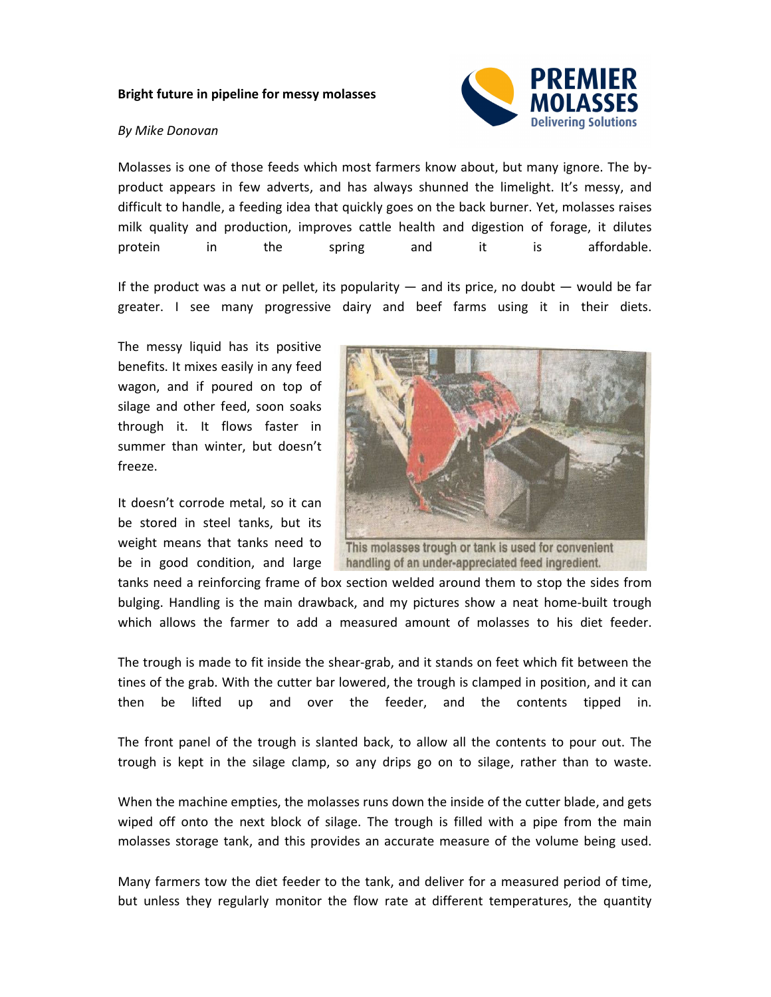## **Bright future in pipeline for messy molasses**

## *By Mike Donovan*



Molasses is one of those feeds which most farmers know about, but many ignore. The byproduct appears in few adverts, and has always shunned the limelight. It's messy, and difficult to handle, a feeding idea that quickly goes on the back burner. Yet, molasses raises milk quality and production, improves cattle health and digestion of forage, it dilutes protein in the spring and it is affordable.

If the product was a nut or pellet, its popularity  $-$  and its price, no doubt  $-$  would be far greater. I see many progressive dairy and beef farms using it in their diets.

The messy liquid has its positive benefits. It mixes easily in any feed wagon, and if poured on top of silage and other feed, soon soaks through it. It flows faster in summer than winter, but doesn't freeze.

It doesn't corrode metal, so it can be stored in steel tanks, but its weight means that tanks need to be in good condition, and large



This molasses trough or tank is used for convenient handling of an under-appreciated feed ingredient.

tanks need a reinforcing frame of box section welded around them to stop the sides from bulging. Handling is the main drawback, and my pictures show a neat home-built trough which allows the farmer to add a measured amount of molasses to his diet feeder.

The trough is made to fit inside the shear-grab, and it stands on feet which fit between the tines of the grab. With the cutter bar lowered, the trough is clamped in position, and it can then be lifted up and over the feeder, and the contents tipped in.

The front panel of the trough is slanted back, to allow all the contents to pour out. The trough is kept in the silage clamp, so any drips go on to silage, rather than to waste.

When the machine empties, the molasses runs down the inside of the cutter blade, and gets wiped off onto the next block of silage. The trough is filled with a pipe from the main molasses storage tank, and this provides an accurate measure of the volume being used.

Many farmers tow the diet feeder to the tank, and deliver for a measured period of time, but unless they regularly monitor the flow rate at different temperatures, the quantity